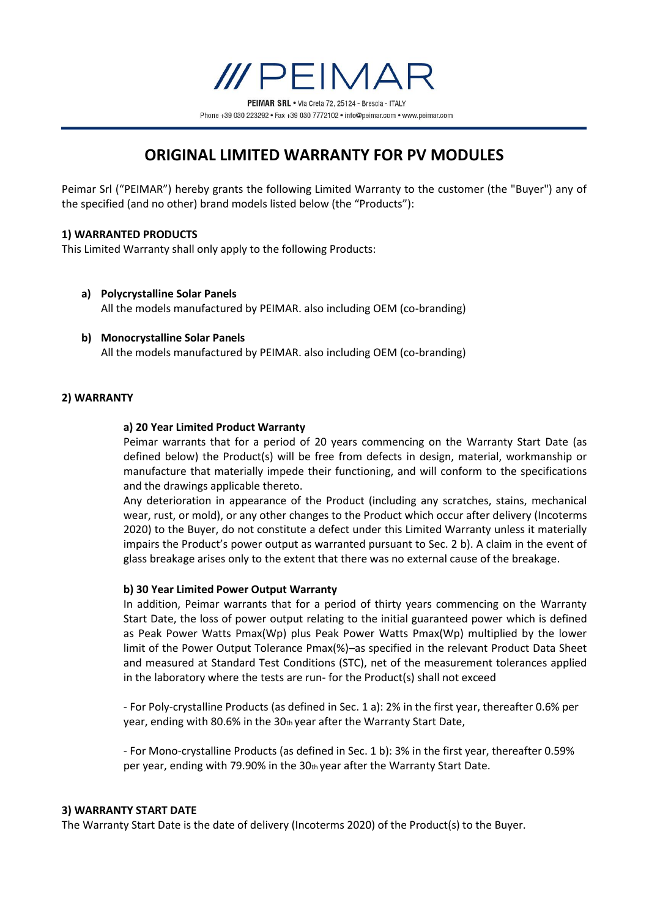Phone +39 030 223292 · Fax +39 030 7772102 · info@peimar.com · www.peimar.com

# **ORIGINAL LIMITED WARRANTY FOR PV MODULES**

Peimar Srl ("PEIMAR") hereby grants the following Limited Warranty to the customer (the "Buyer") any of the specified (and no other) brand models listed below (the "Products"):

# **1) WARRANTED PRODUCTS**

This Limited Warranty shall only apply to the following Products:

- **a) Polycrystalline Solar Panels** All the models manufactured by PEIMAR. also including OEM (co-branding)
- **b) Monocrystalline Solar Panels** All the models manufactured by PEIMAR. also including OEM (co-branding)

# **2) WARRANTY**

## **a) 20 Year Limited Product Warranty**

Peimar warrants that for a period of 20 years commencing on the Warranty Start Date (as defined below) the Product(s) will be free from defects in design, material, workmanship or manufacture that materially impede their functioning, and will conform to the specifications and the drawings applicable thereto.

Any deterioration in appearance of the Product (including any scratches, stains, mechanical wear, rust, or mold), or any other changes to the Product which occur after delivery (Incoterms 2020) to the Buyer, do not constitute a defect under this Limited Warranty unless it materially impairs the Product's power output as warranted pursuant to Sec. 2 b). A claim in the event of glass breakage arises only to the extent that there was no external cause of the breakage.

#### **b) 30 Year Limited Power Output Warranty**

In addition, Peimar warrants that for a period of thirty years commencing on the Warranty Start Date, the loss of power output relating to the initial guaranteed power which is defined as Peak Power Watts Pmax(Wp) plus Peak Power Watts Pmax(Wp) multiplied by the lower limit of the Power Output Tolerance Pmax(%)–as specified in the relevant Product Data Sheet and measured at Standard Test Conditions (STC), net of the measurement tolerances applied in the laboratory where the tests are run- for the Product(s) shall not exceed

- For Poly-crystalline Products (as defined in Sec. 1 a): 2% in the first year, thereafter 0.6% per year, ending with 80.6% in the  $30<sub>th</sub>$  year after the Warranty Start Date,

- For Mono-crystalline Products (as defined in Sec. 1 b): 3% in the first year, thereafter 0.59% per year, ending with 79.90% in the 30th year after the Warranty Start Date.

#### **3) WARRANTY START DATE**

The Warranty Start Date is the date of delivery (Incoterms 2020) of the Product(s) to the Buyer.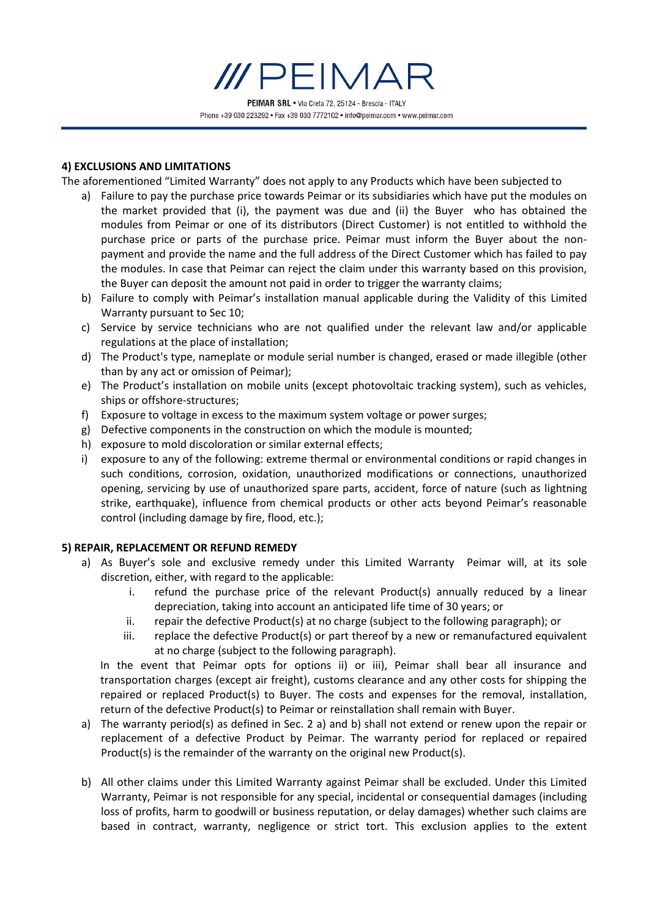

#### **4) EXCLUSIONS AND LIMITATIONS**

The aforementioned "Limited Warranty" does not apply to any Products which have been subjected to

- a) Failure to pay the purchase price towards Peimar or its subsidiaries which have put the modules on the market provided that (i), the payment was due and (ii) the Buyer who has obtained the modules from Peimar or one of its distributors (Direct Customer) is not entitled to withhold the purchase price or parts of the purchase price. Peimar must inform the Buyer about the nonpayment and provide the name and the full address of the Direct Customer which has failed to pay the modules. In case that Peimar can reject the claim under this warranty based on this provision, the Buyer can deposit the amount not paid in order to trigger the warranty claims;
- b) Failure to comply with Peimar's installation manual applicable during the Validity of this Limited Warranty pursuant to Sec 10;
- c) Service by service technicians who are not qualified under the relevant law and/or applicable regulations at the place of installation;
- d) The Product's type, nameplate or module serial number is changed, erased or made illegible (other than by any act or omission of Peimar);
- e) The Product's installation on mobile units (except photovoltaic tracking system), such as vehicles, ships or offshore-structures;
- f) Exposure to voltage in excess to the maximum system voltage or power surges;
- g) Defective components in the construction on which the module is mounted;
- h) exposure to mold discoloration or similar external effects;
- i) exposure to any of the following: extreme thermal or environmental conditions or rapid changes in such conditions, corrosion, oxidation, unauthorized modifications or connections, unauthorized opening, servicing by use of unauthorized spare parts, accident, force of nature (such as lightning strike, earthquake), influence from chemical products or other acts beyond Peimar's reasonable control (including damage by fire, flood, etc.);

#### **5) REPAIR, REPLACEMENT OR REFUND REMEDY**

- a) As Buyer's sole and exclusive remedy under this Limited Warranty Peimar will, at its sole discretion, either, with regard to the applicable:
	- i. refund the purchase price of the relevant Product(s) annually reduced by a linear depreciation, taking into account an anticipated life time of 30 years; or
	- ii. repair the defective Product(s) at no charge (subject to the following paragraph); or
	- iii. replace the defective Product(s) or part thereof by a new or remanufactured equivalent at no charge (subject to the following paragraph).

In the event that Peimar opts for options ii) or iii), Peimar shall bear all insurance and transportation charges (except air freight), customs clearance and any other costs for shipping the repaired or replaced Product(s) to Buyer. The costs and expenses for the removal, installation, return of the defective Product(s) to Peimar or reinstallation shall remain with Buyer.

- a) The warranty period(s) as defined in Sec. 2 a) and b) shall not extend or renew upon the repair or replacement of a defective Product by Peimar. The warranty period for replaced or repaired Product(s) is the remainder of the warranty on the original new Product(s).
- b) All other claims under this Limited Warranty against Peimar shall be excluded. Under this Limited Warranty, Peimar is not responsible for any special, incidental or consequential damages (including loss of profits, harm to goodwill or business reputation, or delay damages) whether such claims are based in contract, warranty, negligence or strict tort. This exclusion applies to the extent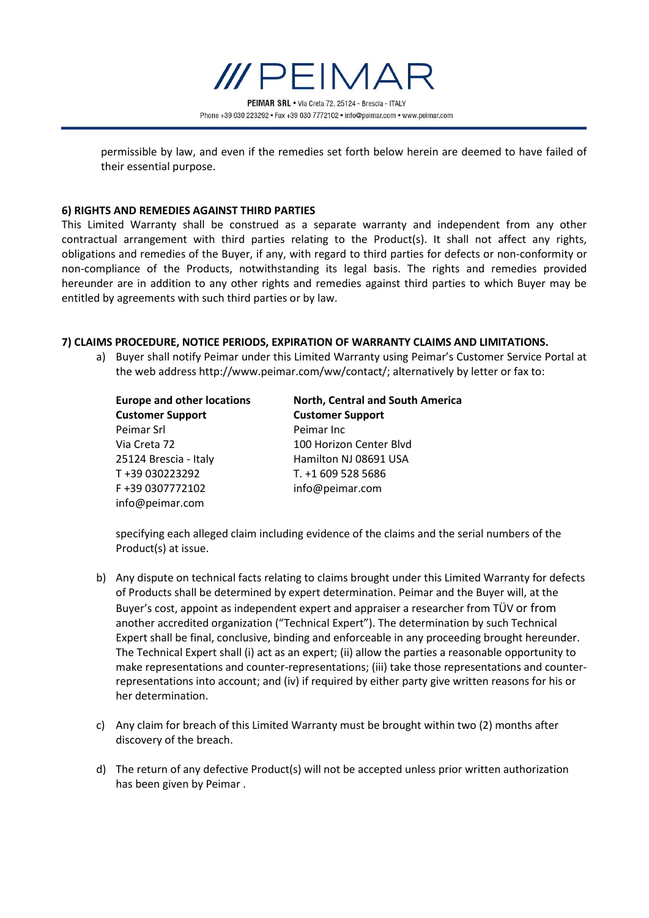

permissible by law, and even if the remedies set forth below herein are deemed to have failed of their essential purpose.

#### **6) RIGHTS AND REMEDIES AGAINST THIRD PARTIES**

This Limited Warranty shall be construed as a separate warranty and independent from any other contractual arrangement with third parties relating to the Product(s). It shall not affect any rights, obligations and remedies of the Buyer, if any, with regard to third parties for defects or non-conformity or non-compliance of the Products, notwithstanding its legal basis. The rights and remedies provided hereunder are in addition to any other rights and remedies against third parties to which Buyer may be entitled by agreements with such third parties or by law.

#### **7) CLAIMS PROCEDURE, NOTICE PERIODS, EXPIRATION OF WARRANTY CLAIMS AND LIMITATIONS.**

a) Buyer shall notify Peimar under this Limited Warranty using Peimar's Customer Service Portal at the web address http://www.peimar.com/ww/contact/; alternatively by letter or fax to:

| <b>Europe and other locations</b><br><b>Customer Support</b> | North, Central and South America<br><b>Customer Support</b> |
|--------------------------------------------------------------|-------------------------------------------------------------|
|                                                              |                                                             |
| Via Creta 72                                                 | 100 Horizon Center Blyd                                     |
| 25124 Brescia - Italy                                        | Hamilton NJ 08691 USA                                       |
| T+39 030223292                                               | T. +1 609 528 5686                                          |
| F+39 0307772102                                              | info@peimar.com                                             |
| info@peimar.com                                              |                                                             |

specifying each alleged claim including evidence of the claims and the serial numbers of the Product(s) at issue.

- b) Any dispute on technical facts relating to claims brought under this Limited Warranty for defects of Products shall be determined by expert determination. Peimar and the Buyer will, at the Buyer's cost, appoint as independent expert and appraiser a researcher from TÜV or from another accredited organization ("Technical Expert"). The determination by such Technical Expert shall be final, conclusive, binding and enforceable in any proceeding brought hereunder. The Technical Expert shall (i) act as an expert; (ii) allow the parties a reasonable opportunity to make representations and counter-representations; (iii) take those representations and counterrepresentations into account; and (iv) if required by either party give written reasons for his or her determination.
- c) Any claim for breach of this Limited Warranty must be brought within two (2) months after discovery of the breach.
- d) The return of any defective Product(s) will not be accepted unless prior written authorization has been given by Peimar .